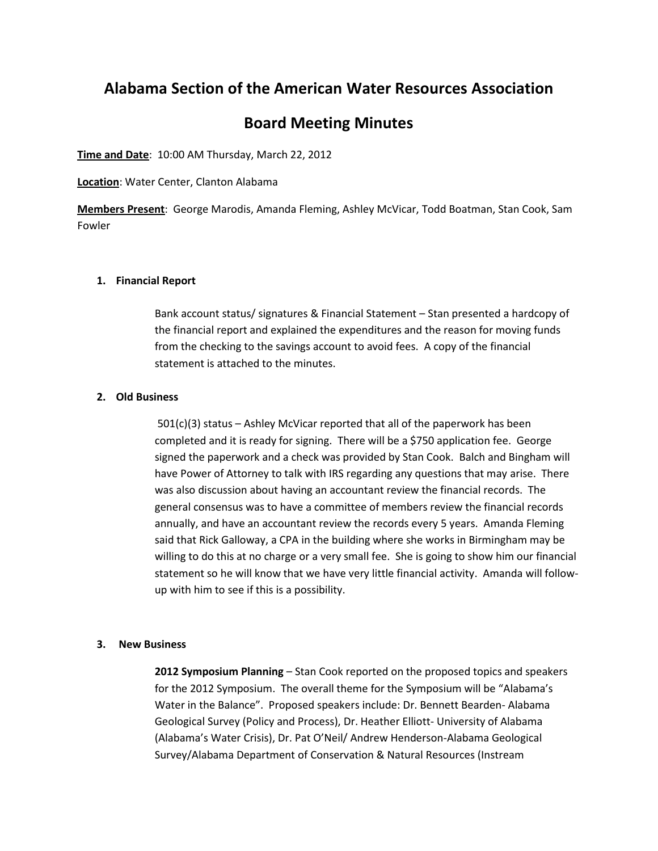# **Alabama Section of the American Water Resources Association**

# **Board Meeting Minutes**

**Time and Date**: 10:00 AM Thursday, March 22, 2012

**Location**: Water Center, Clanton Alabama

**Members Present**: George Marodis, Amanda Fleming, Ashley McVicar, Todd Boatman, Stan Cook, Sam Fowler

### **1. Financial Report**

Bank account status/ signatures & Financial Statement – Stan presented a hardcopy of the financial report and explained the expenditures and the reason for moving funds from the checking to the savings account to avoid fees. A copy of the financial statement is attached to the minutes.

## **2. Old Business**

501(c)(3) status – Ashley McVicar reported that all of the paperwork has been completed and it is ready for signing. There will be a \$750 application fee. George signed the paperwork and a check was provided by Stan Cook. Balch and Bingham will have Power of Attorney to talk with IRS regarding any questions that may arise. There was also discussion about having an accountant review the financial records. The general consensus was to have a committee of members review the financial records annually, and have an accountant review the records every 5 years. Amanda Fleming said that Rick Galloway, a CPA in the building where she works in Birmingham may be willing to do this at no charge or a very small fee. She is going to show him our financial statement so he will know that we have very little financial activity. Amanda will followup with him to see if this is a possibility.

### **3. New Business**

**2012 Symposium Planning** – Stan Cook reported on the proposed topics and speakers for the 2012 Symposium. The overall theme for the Symposium will be "Alabama's Water in the Balance". Proposed speakers include: Dr. Bennett Bearden- Alabama Geological Survey (Policy and Process), Dr. Heather Elliott- University of Alabama (Alabama's Water Crisis), Dr. Pat O'Neil/ Andrew Henderson-Alabama Geological Survey/Alabama Department of Conservation & Natural Resources (Instream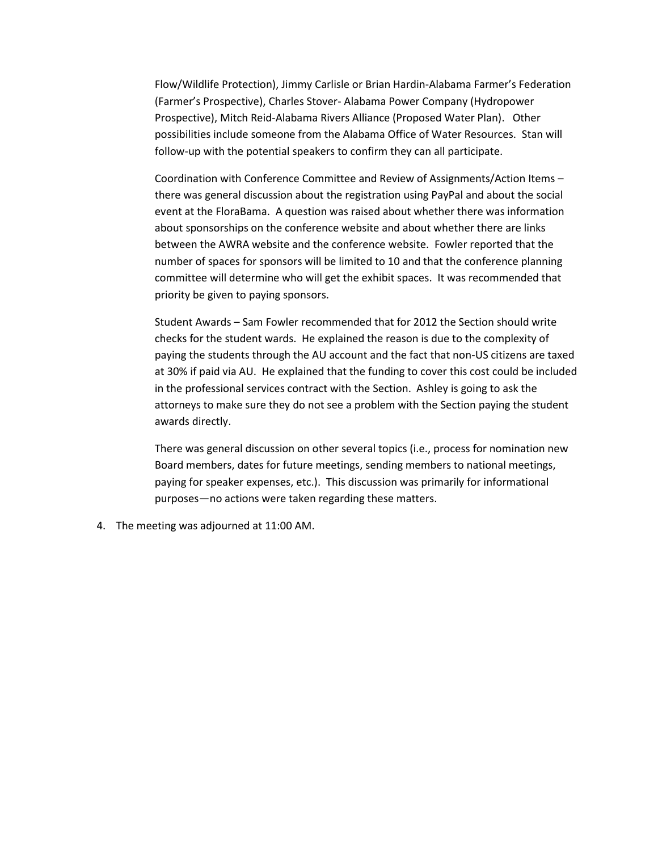Flow/Wildlife Protection), Jimmy Carlisle or Brian Hardin-Alabama Farmer's Federation (Farmer's Prospective), Charles Stover- Alabama Power Company (Hydropower Prospective), Mitch Reid-Alabama Rivers Alliance (Proposed Water Plan). Other possibilities include someone from the Alabama Office of Water Resources. Stan will follow-up with the potential speakers to confirm they can all participate.

Coordination with Conference Committee and Review of Assignments/Action Items – there was general discussion about the registration using PayPal and about the social event at the FloraBama. A question was raised about whether there was information about sponsorships on the conference website and about whether there are links between the AWRA website and the conference website. Fowler reported that the number of spaces for sponsors will be limited to 10 and that the conference planning committee will determine who will get the exhibit spaces. It was recommended that priority be given to paying sponsors.

Student Awards – Sam Fowler recommended that for 2012 the Section should write checks for the student wards. He explained the reason is due to the complexity of paying the students through the AU account and the fact that non-US citizens are taxed at 30% if paid via AU. He explained that the funding to cover this cost could be included in the professional services contract with the Section. Ashley is going to ask the attorneys to make sure they do not see a problem with the Section paying the student awards directly.

There was general discussion on other several topics (i.e., process for nomination new Board members, dates for future meetings, sending members to national meetings, paying for speaker expenses, etc.). This discussion was primarily for informational purposes—no actions were taken regarding these matters.

4. The meeting was adjourned at 11:00 AM.